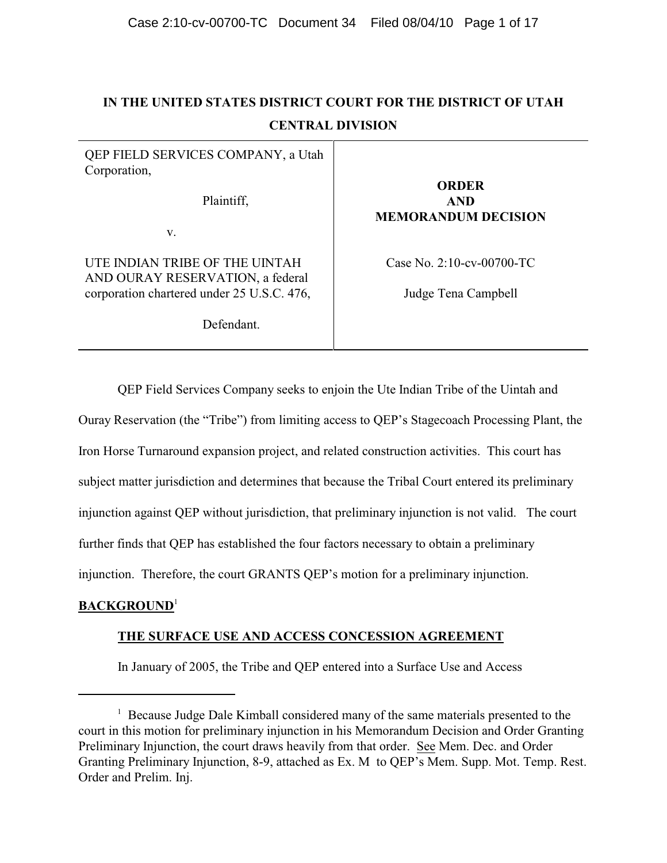# **IN THE UNITED STATES DISTRICT COURT FOR THE DISTRICT OF UTAH CENTRAL DIVISION**

| QEP FIELD SERVICES COMPANY, a Utah<br>Corporation,<br>Plaintiff,   | <b>ORDER</b><br><b>AND</b><br><b>MEMORANDUM DECISION</b> |
|--------------------------------------------------------------------|----------------------------------------------------------|
| V.                                                                 |                                                          |
| UTE INDIAN TRIBE OF THE UINTAH<br>AND OURAY RESERVATION, a federal | Case No. $2:10$ -cv-00700-TC                             |
| corporation chartered under 25 U.S.C. 476,                         | Judge Tena Campbell                                      |
| Defendant.                                                         |                                                          |

QEP Field Services Company seeks to enjoin the Ute Indian Tribe of the Uintah and

Ouray Reservation (the "Tribe") from limiting access to QEP's Stagecoach Processing Plant, the

Iron Horse Turnaround expansion project, and related construction activities. This court has

subject matter jurisdiction and determines that because the Tribal Court entered its preliminary

injunction against QEP without jurisdiction, that preliminary injunction is not valid. The court

further finds that QEP has established the four factors necessary to obtain a preliminary

injunction. Therefore, the court GRANTS QEP's motion for a preliminary injunction.

# **BACKGROUND**<sup>1</sup>

# **THE SURFACE USE AND ACCESS CONCESSION AGREEMENT**

In January of 2005, the Tribe and QEP entered into a Surface Use and Access

 $<sup>1</sup>$  Because Judge Dale Kimball considered many of the same materials presented to the</sup> court in this motion for preliminary injunction in his Memorandum Decision and Order Granting Preliminary Injunction, the court draws heavily from that order. See Mem. Dec. and Order Granting Preliminary Injunction, 8-9, attached as Ex. M to QEP's Mem. Supp. Mot. Temp. Rest. Order and Prelim. Inj.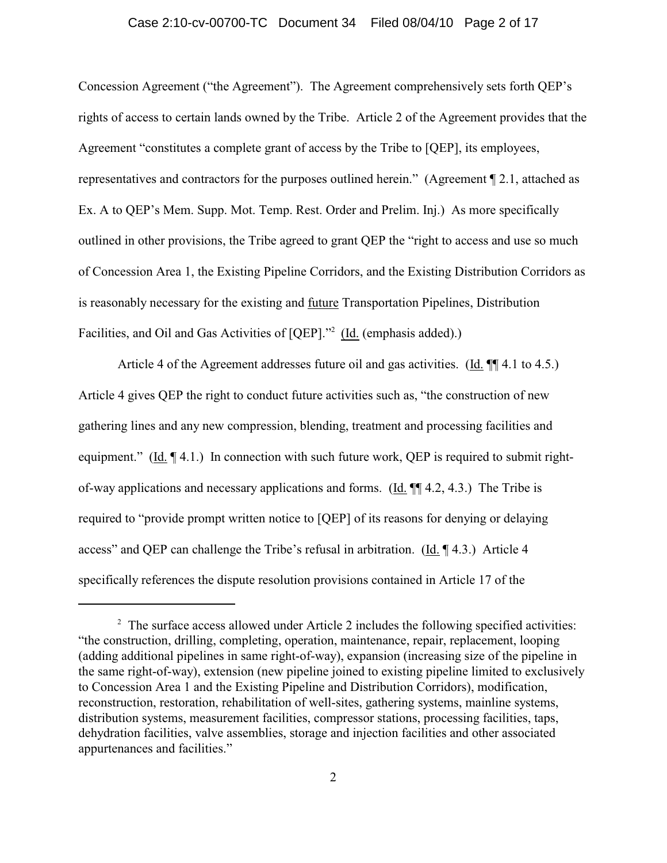#### Case 2:10-cv-00700-TC Document 34 Filed 08/04/10 Page 2 of 17

Concession Agreement ("the Agreement"). The Agreement comprehensively sets forth QEP's rights of access to certain lands owned by the Tribe. Article 2 of the Agreement provides that the Agreement "constitutes a complete grant of access by the Tribe to [QEP], its employees, representatives and contractors for the purposes outlined herein." (Agreement ¶ 2.1, attached as Ex. A to QEP's Mem. Supp. Mot. Temp. Rest. Order and Prelim. Inj.) As more specifically outlined in other provisions, the Tribe agreed to grant QEP the "right to access and use so much of Concession Area 1, the Existing Pipeline Corridors, and the Existing Distribution Corridors as is reasonably necessary for the existing and future Transportation Pipelines, Distribution Facilities, and Oil and Gas Activities of [QEP]."<sup>2</sup> (Id. (emphasis added).)

Article 4 of the Agreement addresses future oil and gas activities. (Id.  $\P$  4.1 to 4.5.) Article 4 gives QEP the right to conduct future activities such as, "the construction of new gathering lines and any new compression, blending, treatment and processing facilities and equipment." (Id.  $\P$  4.1.) In connection with such future work, QEP is required to submit rightof-way applications and necessary applications and forms. (Id. ¶¶ 4.2, 4.3.) The Tribe is required to "provide prompt written notice to [QEP] of its reasons for denying or delaying access" and QEP can challenge the Tribe's refusal in arbitration. (Id. ¶ 4.3.) Article 4 specifically references the dispute resolution provisions contained in Article 17 of the

<sup>&</sup>lt;sup>2</sup> The surface access allowed under Article 2 includes the following specified activities: "the construction, drilling, completing, operation, maintenance, repair, replacement, looping (adding additional pipelines in same right-of-way), expansion (increasing size of the pipeline in the same right-of-way), extension (new pipeline joined to existing pipeline limited to exclusively to Concession Area 1 and the Existing Pipeline and Distribution Corridors), modification, reconstruction, restoration, rehabilitation of well-sites, gathering systems, mainline systems, distribution systems, measurement facilities, compressor stations, processing facilities, taps, dehydration facilities, valve assemblies, storage and injection facilities and other associated appurtenances and facilities."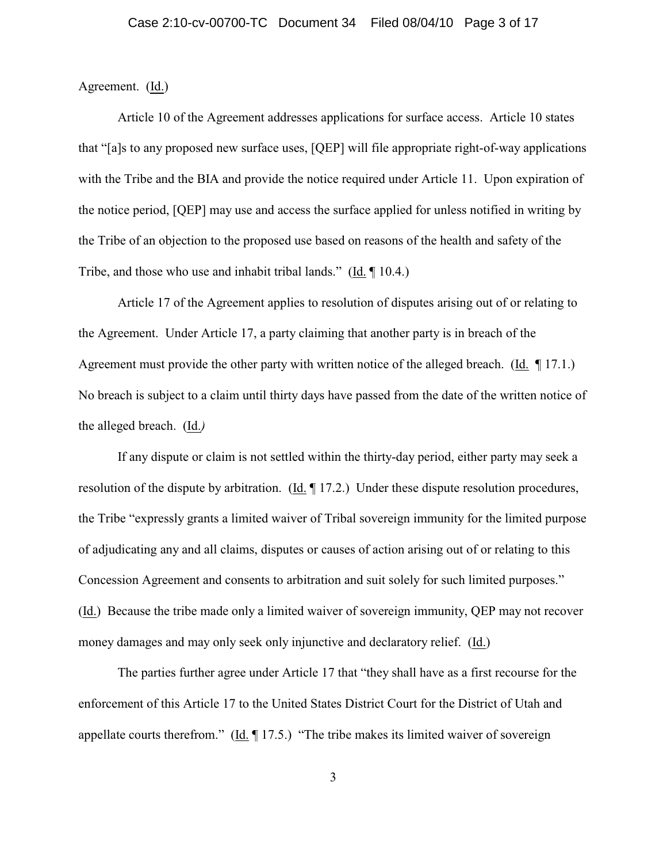### Agreement. (Id.)

Article 10 of the Agreement addresses applications for surface access. Article 10 states that "[a]s to any proposed new surface uses, [QEP] will file appropriate right-of-way applications with the Tribe and the BIA and provide the notice required under Article 11. Upon expiration of the notice period, [QEP] may use and access the surface applied for unless notified in writing by the Tribe of an objection to the proposed use based on reasons of the health and safety of the Tribe, and those who use and inhabit tribal lands." (Id. ¶ 10.4.)

Article 17 of the Agreement applies to resolution of disputes arising out of or relating to the Agreement. Under Article 17, a party claiming that another party is in breach of the Agreement must provide the other party with written notice of the alleged breach. (Id.  $\parallel$  17.1.) No breach is subject to a claim until thirty days have passed from the date of the written notice of the alleged breach. (Id.*)*

If any dispute or claim is not settled within the thirty-day period, either party may seek a resolution of the dispute by arbitration. (Id. ¶ 17.2.) Under these dispute resolution procedures, the Tribe "expressly grants a limited waiver of Tribal sovereign immunity for the limited purpose of adjudicating any and all claims, disputes or causes of action arising out of or relating to this Concession Agreement and consents to arbitration and suit solely for such limited purposes." (Id.)Because the tribe made only a limited waiver of sovereign immunity, QEP may not recover money damages and may only seek only injunctive and declaratory relief. (Id.)

The parties further agree under Article 17 that "they shall have as a first recourse for the enforcement of this Article 17 to the United States District Court for the District of Utah and appellate courts therefrom." ( $\underline{Id}$ . [17.5.) "The tribe makes its limited waiver of sovereign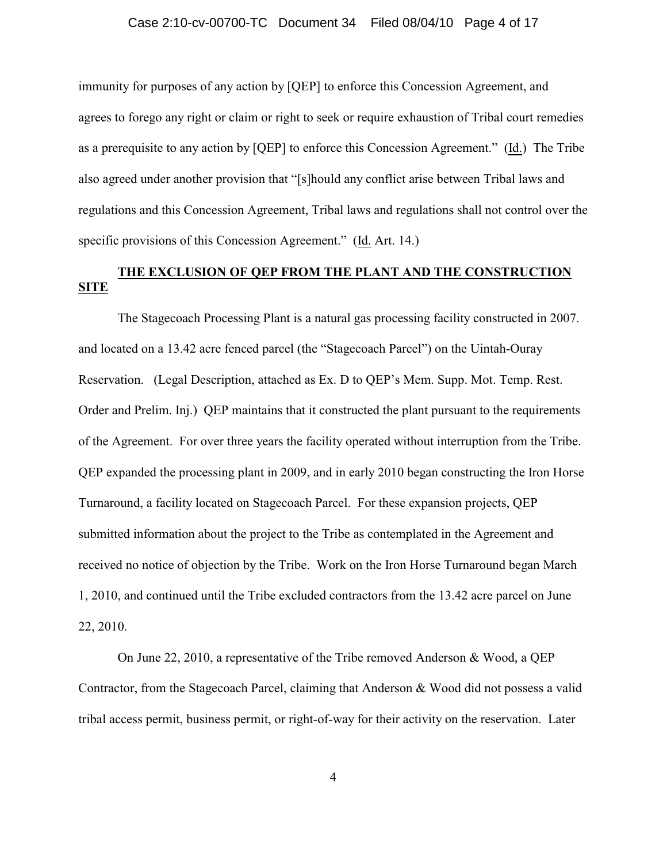immunity for purposes of any action by [QEP] to enforce this Concession Agreement, and agrees to forego any right or claim or right to seek or require exhaustion of Tribal court remedies as a prerequisite to any action by [QEP] to enforce this Concession Agreement." (Id.) The Tribe also agreed under another provision that "[s]hould any conflict arise between Tribal laws and regulations and this Concession Agreement, Tribal laws and regulations shall not control over the specific provisions of this Concession Agreement." (Id. Art. 14.)

# **THE EXCLUSION OF QEP FROM THE PLANT AND THE CONSTRUCTION SITE**

The Stagecoach Processing Plant is a natural gas processing facility constructed in 2007. and located on a 13.42 acre fenced parcel (the "Stagecoach Parcel") on the Uintah-Ouray Reservation. (Legal Description, attached as Ex. D to QEP's Mem. Supp. Mot. Temp. Rest. Order and Prelim. Inj.) QEP maintains that it constructed the plant pursuant to the requirements of the Agreement. For over three years the facility operated without interruption from the Tribe. QEP expanded the processing plant in 2009, and in early 2010 began constructing the Iron Horse Turnaround, a facility located on Stagecoach Parcel. For these expansion projects, QEP submitted information about the project to the Tribe as contemplated in the Agreement and received no notice of objection by the Tribe. Work on the Iron Horse Turnaround began March 1, 2010, and continued until the Tribe excluded contractors from the 13.42 acre parcel on June 22, 2010.

On June 22, 2010, a representative of the Tribe removed Anderson & Wood, a QEP Contractor, from the Stagecoach Parcel, claiming that Anderson & Wood did not possess a valid tribal access permit, business permit, or right-of-way for their activity on the reservation. Later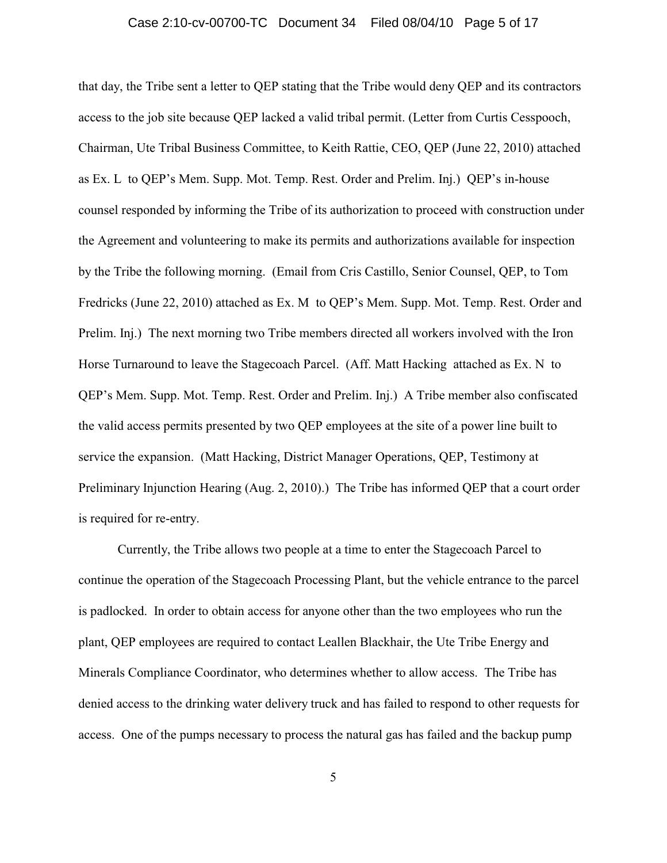#### Case 2:10-cv-00700-TC Document 34 Filed 08/04/10 Page 5 of 17

that day, the Tribe sent a letter to QEP stating that the Tribe would deny QEP and its contractors access to the job site because QEP lacked a valid tribal permit. (Letter from Curtis Cesspooch, Chairman, Ute Tribal Business Committee, to Keith Rattie, CEO, QEP (June 22, 2010) attached as Ex. L to QEP's Mem. Supp. Mot. Temp. Rest. Order and Prelim. Inj.) QEP's in-house counsel responded by informing the Tribe of its authorization to proceed with construction under the Agreement and volunteering to make its permits and authorizations available for inspection by the Tribe the following morning. (Email from Cris Castillo, Senior Counsel, QEP, to Tom Fredricks (June 22, 2010) attached as Ex. M to QEP's Mem. Supp. Mot. Temp. Rest. Order and Prelim. Inj.) The next morning two Tribe members directed all workers involved with the Iron Horse Turnaround to leave the Stagecoach Parcel. (Aff. Matt Hacking attached as Ex. N to QEP's Mem. Supp. Mot. Temp. Rest. Order and Prelim. Inj.) A Tribe member also confiscated the valid access permits presented by two QEP employees at the site of a power line built to service the expansion. (Matt Hacking, District Manager Operations, QEP, Testimony at Preliminary Injunction Hearing (Aug. 2, 2010).) The Tribe has informed QEP that a court order is required for re-entry.

Currently, the Tribe allows two people at a time to enter the Stagecoach Parcel to continue the operation of the Stagecoach Processing Plant, but the vehicle entrance to the parcel is padlocked. In order to obtain access for anyone other than the two employees who run the plant, QEP employees are required to contact Leallen Blackhair, the Ute Tribe Energy and Minerals Compliance Coordinator, who determines whether to allow access. The Tribe has denied access to the drinking water delivery truck and has failed to respond to other requests for access. One of the pumps necessary to process the natural gas has failed and the backup pump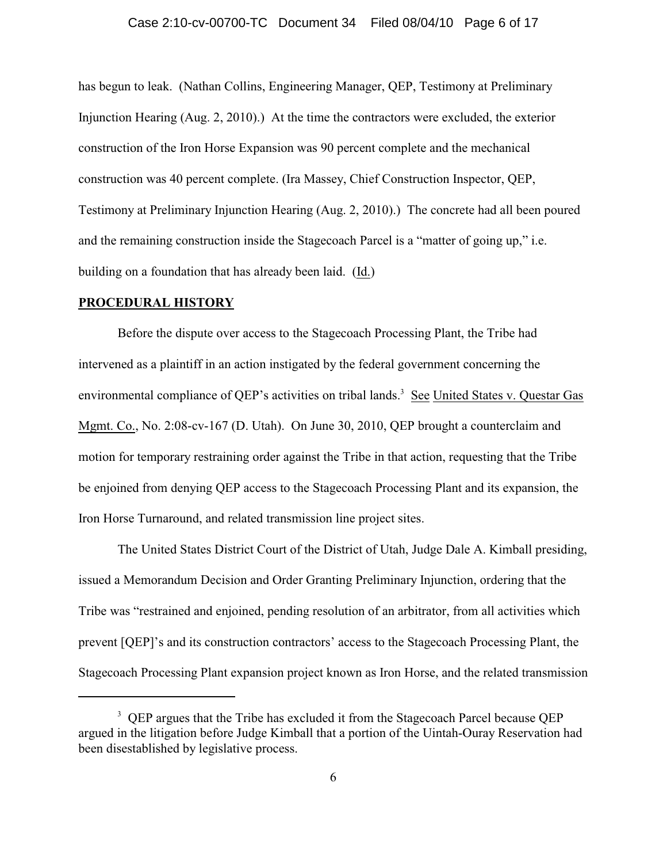#### Case 2:10-cv-00700-TC Document 34 Filed 08/04/10 Page 6 of 17

has begun to leak. (Nathan Collins, Engineering Manager, QEP, Testimony at Preliminary Injunction Hearing (Aug. 2, 2010).) At the time the contractors were excluded, the exterior construction of the Iron Horse Expansion was 90 percent complete and the mechanical construction was 40 percent complete. (Ira Massey, Chief Construction Inspector, QEP, Testimony at Preliminary Injunction Hearing (Aug. 2, 2010).) The concrete had all been poured and the remaining construction inside the Stagecoach Parcel is a "matter of going up," i.e. building on a foundation that has already been laid. (Id.)

#### **PROCEDURAL HISTORY**

Before the dispute over access to the Stagecoach Processing Plant, the Tribe had intervened as a plaintiff in an action instigated by the federal government concerning the environmental compliance of QEP's activities on tribal lands.<sup>3</sup> See United States v. Questar Gas Mgmt. Co., No. 2:08-cv-167 (D. Utah). On June 30, 2010, QEP brought a counterclaim and motion for temporary restraining order against the Tribe in that action, requesting that the Tribe be enjoined from denying QEP access to the Stagecoach Processing Plant and its expansion, the Iron Horse Turnaround, and related transmission line project sites.

The United States District Court of the District of Utah, Judge Dale A. Kimball presiding, issued a Memorandum Decision and Order Granting Preliminary Injunction, ordering that the Tribe was "restrained and enjoined, pending resolution of an arbitrator, from all activities which prevent [QEP]'s and its construction contractors' access to the Stagecoach Processing Plant, the Stagecoach Processing Plant expansion project known as Iron Horse, and the related transmission

<sup>&</sup>lt;sup>3</sup> QEP argues that the Tribe has excluded it from the Stagecoach Parcel because QEP argued in the litigation before Judge Kimball that a portion of the Uintah-Ouray Reservation had been disestablished by legislative process.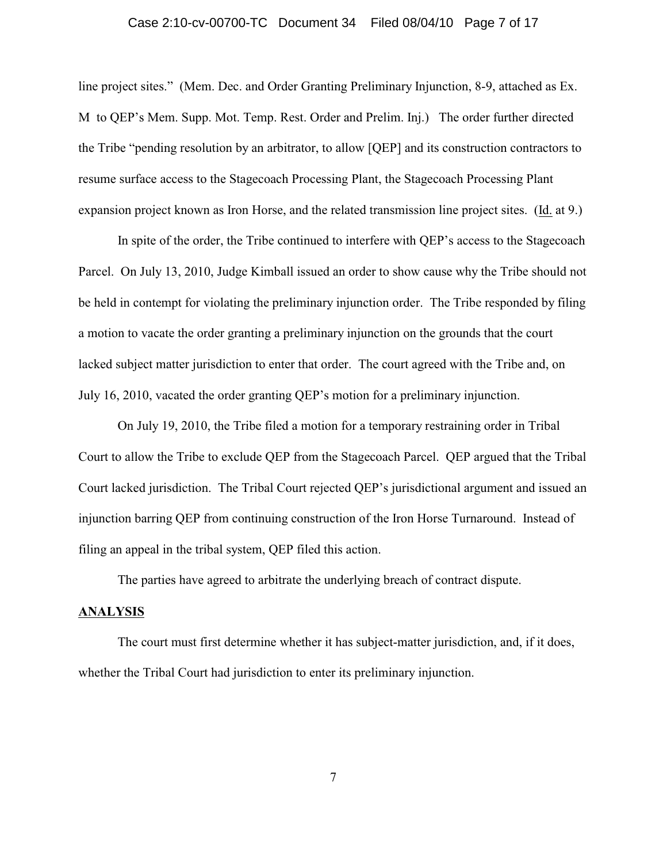#### Case 2:10-cv-00700-TC Document 34 Filed 08/04/10 Page 7 of 17

line project sites." (Mem. Dec. and Order Granting Preliminary Injunction, 8-9, attached as Ex. M to QEP's Mem. Supp. Mot. Temp. Rest. Order and Prelim. Inj.) The order further directed the Tribe "pending resolution by an arbitrator, to allow [QEP] and its construction contractors to resume surface access to the Stagecoach Processing Plant, the Stagecoach Processing Plant expansion project known as Iron Horse, and the related transmission line project sites. (Id. at 9.)

In spite of the order, the Tribe continued to interfere with QEP's access to the Stagecoach Parcel. On July 13, 2010, Judge Kimball issued an order to show cause why the Tribe should not be held in contempt for violating the preliminary injunction order. The Tribe responded by filing a motion to vacate the order granting a preliminary injunction on the grounds that the court lacked subject matter jurisdiction to enter that order. The court agreed with the Tribe and, on July 16, 2010, vacated the order granting QEP's motion for a preliminary injunction.

On July 19, 2010, the Tribe filed a motion for a temporary restraining order in Tribal Court to allow the Tribe to exclude QEP from the Stagecoach Parcel. QEP argued that the Tribal Court lacked jurisdiction. The Tribal Court rejected QEP's jurisdictional argument and issued an injunction barring QEP from continuing construction of the Iron Horse Turnaround. Instead of filing an appeal in the tribal system, QEP filed this action.

The parties have agreed to arbitrate the underlying breach of contract dispute.

### **ANALYSIS**

The court must first determine whether it has subject-matter jurisdiction, and, if it does, whether the Tribal Court had jurisdiction to enter its preliminary injunction.

7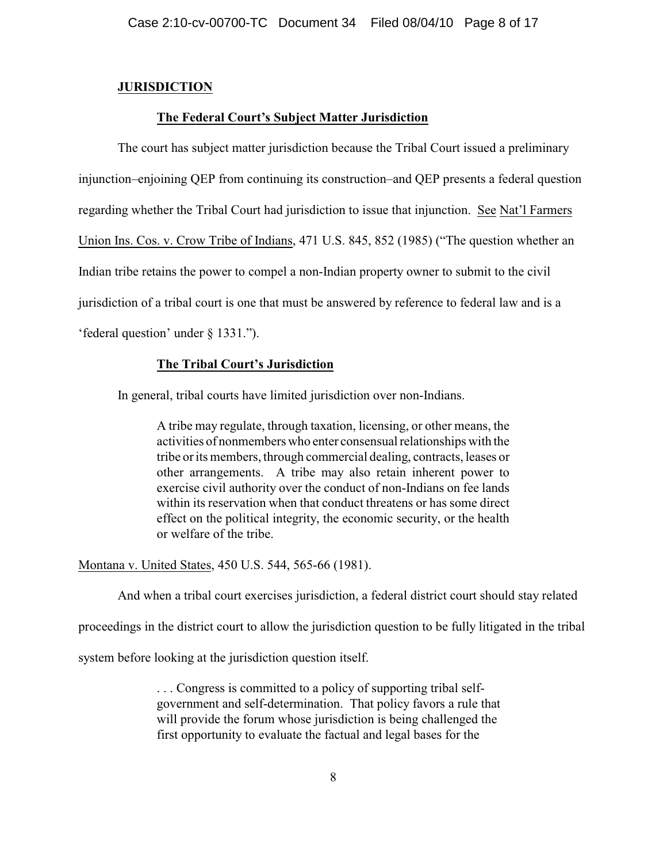# **JURISDICTION**

# **The Federal Court's Subject Matter Jurisdiction**

The court has subject matter jurisdiction because the Tribal Court issued a preliminary injunction–enjoining QEP from continuing its construction–and QEP presents a federal question regarding whether the Tribal Court had jurisdiction to issue that injunction. See Nat'l Farmers Union Ins. Cos. v. Crow Tribe of Indians, 471 U.S. 845, 852 (1985) ("The question whether an Indian tribe retains the power to compel a non-Indian property owner to submit to the civil jurisdiction of a tribal court is one that must be answered by reference to federal law and is a 'federal question' under § 1331.").

# **The Tribal Court's Jurisdiction**

In general, tribal courts have limited jurisdiction over non-Indians.

A tribe may regulate, through taxation, licensing, or other means, the activities of nonmembers who enter consensual relationships with the tribe or its members, through commercial dealing, contracts, leases or other arrangements. A tribe may also retain inherent power to exercise civil authority over the conduct of non-Indians on fee lands within its reservation when that conduct threatens or has some direct effect on the political integrity, the economic security, or the health or welfare of the tribe.

Montana v. United States, 450 U.S. 544, 565-66 (1981).

And when a tribal court exercises jurisdiction, a federal district court should stay related

proceedings in the district court to allow the jurisdiction question to be fully litigated in the tribal

system before looking at the jurisdiction question itself.

. . . Congress is committed to a policy of supporting tribal selfgovernment and self-determination. That policy favors a rule that will provide the forum whose jurisdiction is being challenged the first opportunity to evaluate the factual and legal bases for the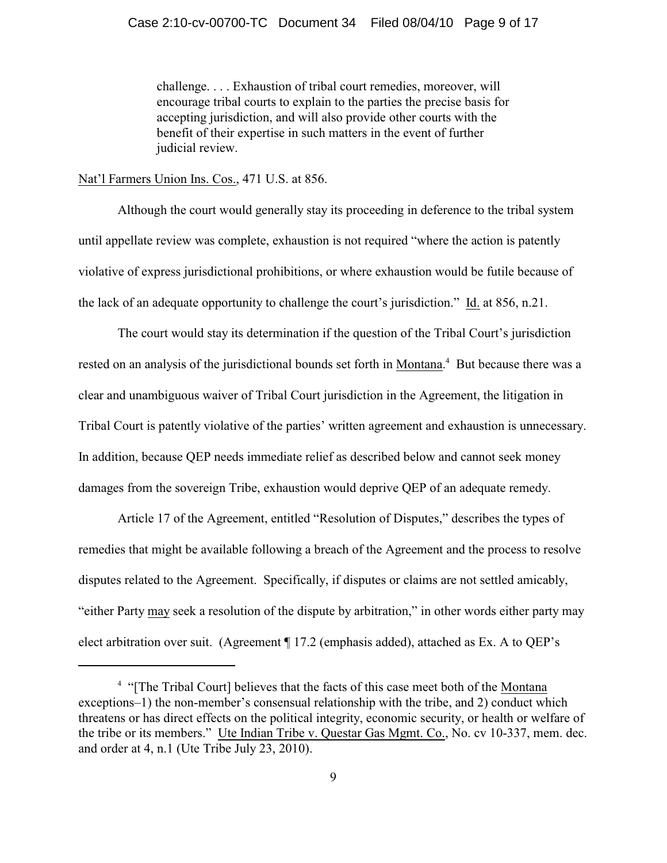### Case 2:10-cv-00700-TC Document 34 Filed 08/04/10 Page 9 of 17

challenge. . . . Exhaustion of tribal court remedies, moreover, will encourage tribal courts to explain to the parties the precise basis for accepting jurisdiction, and will also provide other courts with the benefit of their expertise in such matters in the event of further judicial review.

Nat'l Farmers Union Ins. Cos., 471 U.S. at 856.

Although the court would generally stay its proceeding in deference to the tribal system until appellate review was complete, exhaustion is not required "where the action is patently violative of express jurisdictional prohibitions, or where exhaustion would be futile because of the lack of an adequate opportunity to challenge the court's jurisdiction." Id. at 856, n.21.

The court would stay its determination if the question of the Tribal Court's jurisdiction rested on an analysis of the jurisdictional bounds set forth in Montana.<sup>4</sup> But because there was a clear and unambiguous waiver of Tribal Court jurisdiction in the Agreement, the litigation in Tribal Court is patently violative of the parties' written agreement and exhaustion is unnecessary. In addition, because QEP needs immediate relief as described below and cannot seek money damages from the sovereign Tribe, exhaustion would deprive QEP of an adequate remedy.

Article 17 of the Agreement, entitled "Resolution of Disputes," describes the types of remedies that might be available following a breach of the Agreement and the process to resolve disputes related to the Agreement. Specifically, if disputes or claims are not settled amicably, "either Party may seek a resolution of the dispute by arbitration," in other words either party may elect arbitration over suit. (Agreement ¶ 17.2 (emphasis added), attached as Ex. A to QEP's

<sup>&</sup>lt;sup>4</sup> "[The Tribal Court] believes that the facts of this case meet both of the Montana exceptions–1) the non-member's consensual relationship with the tribe, and 2) conduct which threatens or has direct effects on the political integrity, economic security, or health or welfare of the tribe or its members." Ute Indian Tribe v. Questar Gas Mgmt. Co., No. cv 10-337, mem. dec. and order at 4, n.1 (Ute Tribe July 23, 2010).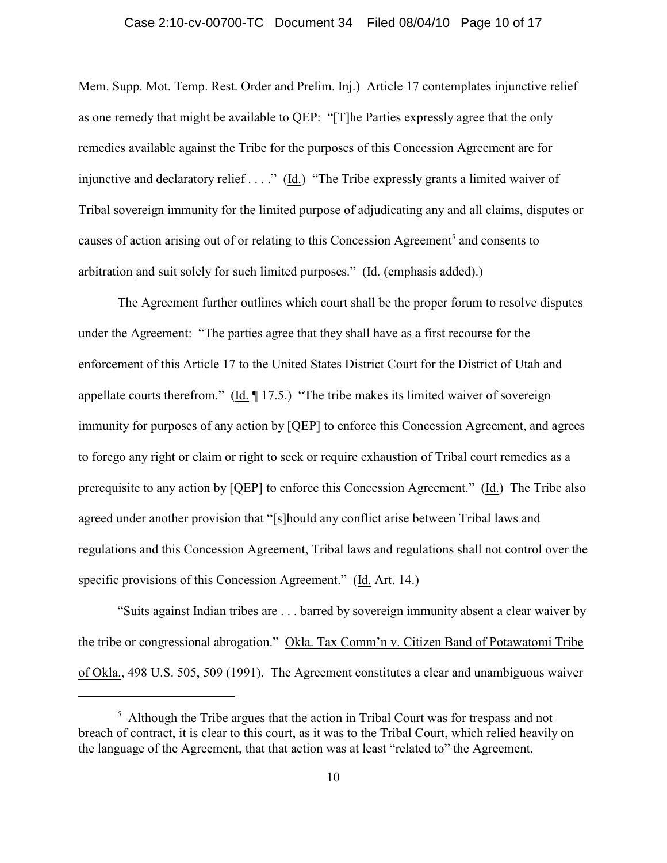#### Case 2:10-cv-00700-TC Document 34 Filed 08/04/10 Page 10 of 17

Mem. Supp. Mot. Temp. Rest. Order and Prelim. Inj.) Article 17 contemplates injunctive relief as one remedy that might be available to QEP: "[T]he Parties expressly agree that the only remedies available against the Tribe for the purposes of this Concession Agreement are for injunctive and declaratory relief . . . ." (Id.) "The Tribe expressly grants a limited waiver of Tribal sovereign immunity for the limited purpose of adjudicating any and all claims, disputes or causes of action arising out of or relating to this Concession Agreement<sup>5</sup> and consents to arbitration and suit solely for such limited purposes." (Id. (emphasis added).)

The Agreement further outlines which court shall be the proper forum to resolve disputes under the Agreement: "The parties agree that they shall have as a first recourse for the enforcement of this Article 17 to the United States District Court for the District of Utah and appellate courts therefrom." ( $\underline{Id}$ . [17.5.] "The tribe makes its limited waiver of sovereign immunity for purposes of any action by [QEP] to enforce this Concession Agreement, and agrees to forego any right or claim or right to seek or require exhaustion of Tribal court remedies as a prerequisite to any action by [QEP] to enforce this Concession Agreement." (Id.) The Tribe also agreed under another provision that "[s]hould any conflict arise between Tribal laws and regulations and this Concession Agreement, Tribal laws and regulations shall not control over the specific provisions of this Concession Agreement." (Id. Art. 14.)

"Suits against Indian tribes are . . . barred by sovereign immunity absent a clear waiver by the tribe or congressional abrogation." Okla. Tax Comm'n v. Citizen Band of Potawatomi Tribe of Okla., 498 U.S. 505, 509 (1991). The Agreement constitutes a clear and unambiguous waiver

 $<sup>5</sup>$  Although the Tribe argues that the action in Tribal Court was for trespass and not</sup> breach of contract, it is clear to this court, as it was to the Tribal Court, which relied heavily on the language of the Agreement, that that action was at least "related to" the Agreement.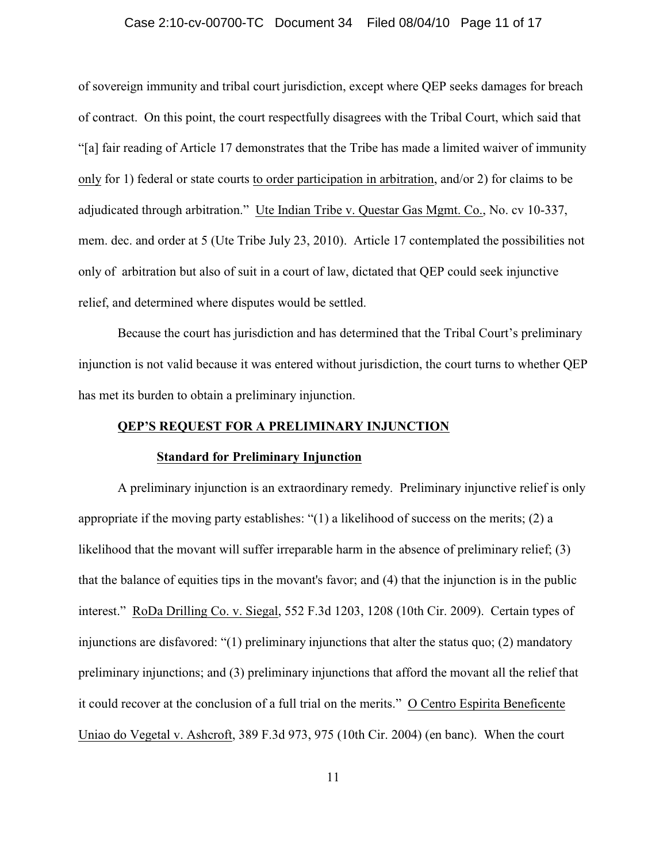#### Case 2:10-cv-00700-TC Document 34 Filed 08/04/10 Page 11 of 17

of sovereign immunity and tribal court jurisdiction, except where QEP seeks damages for breach of contract. On this point, the court respectfully disagrees with the Tribal Court, which said that "[a] fair reading of Article 17 demonstrates that the Tribe has made a limited waiver of immunity only for 1) federal or state courts to order participation in arbitration, and/or 2) for claims to be adjudicated through arbitration." Ute Indian Tribe v. Questar Gas Mgmt. Co., No. cv 10-337, mem. dec. and order at 5 (Ute Tribe July 23, 2010). Article 17 contemplated the possibilities not only of arbitration but also of suit in a court of law, dictated that QEP could seek injunctive relief, and determined where disputes would be settled.

Because the court has jurisdiction and has determined that the Tribal Court's preliminary injunction is not valid because it was entered without jurisdiction, the court turns to whether QEP has met its burden to obtain a preliminary injunction.

#### **QEP'S REQUEST FOR A PRELIMINARY INJUNCTION**

#### **Standard for Preliminary Injunction**

A preliminary injunction is an extraordinary remedy. Preliminary injunctive relief is only appropriate if the moving party establishes: " $(1)$  a likelihood of success on the merits;  $(2)$  a likelihood that the movant will suffer irreparable harm in the absence of preliminary relief; (3) that the balance of equities tips in the movant's favor; and (4) that the injunction is in the public interest." RoDa Drilling Co. v. Siegal, 552 F.3d 1203, 1208 (10th Cir. 2009). Certain types of injunctions are disfavored: "(1) preliminary injunctions that alter the status quo; (2) mandatory preliminary injunctions; and (3) preliminary injunctions that afford the movant all the relief that it could recover at the conclusion of a full trial on the merits." O Centro Espirita Beneficente Uniao do Vegetal v. Ashcroft, 389 F.3d 973, 975 (10th Cir. 2004) (en banc). When the court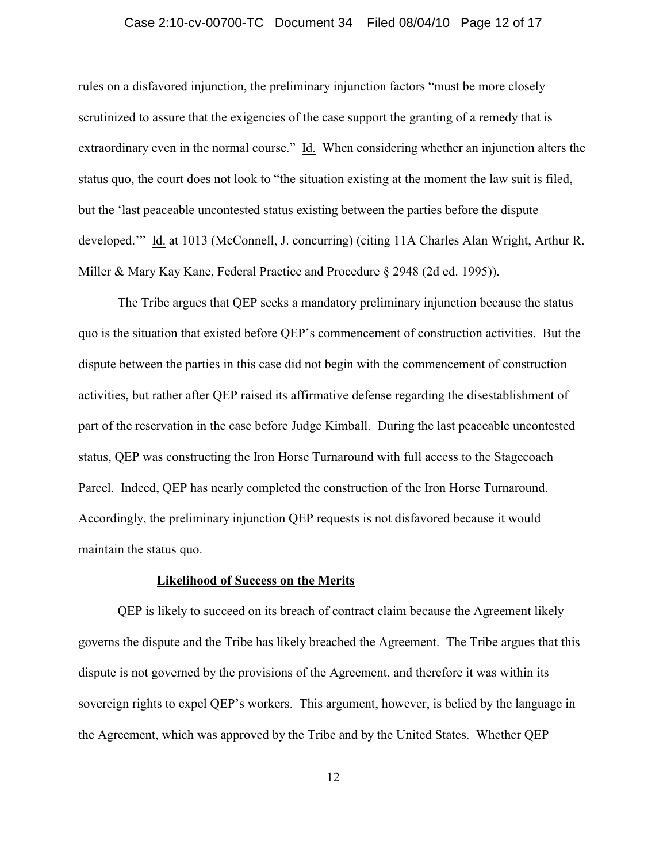#### Case 2:10-cv-00700-TC Document 34 Filed 08/04/10 Page 12 of 17

rules on a disfavored injunction, the preliminary injunction factors "must be more closely scrutinized to assure that the exigencies of the case support the granting of a remedy that is extraordinary even in the normal course." Id. When considering whether an injunction alters the status quo, the court does not look to "the situation existing at the moment the law suit is filed, but the 'last peaceable uncontested status existing between the parties before the dispute developed.'" Id. at 1013 (McConnell, J. concurring) (citing 11A Charles Alan Wright, Arthur R. Miller & Mary Kay Kane, Federal Practice and Procedure § 2948 (2d ed. 1995)).

The Tribe argues that QEP seeks a mandatory preliminary injunction because the status quo is the situation that existed before QEP's commencement of construction activities. But the dispute between the parties in this case did not begin with the commencement of construction activities, but rather after QEP raised its affirmative defense regarding the disestablishment of part of the reservation in the case before Judge Kimball. During the last peaceable uncontested status, QEP was constructing the Iron Horse Turnaround with full access to the Stagecoach Parcel. Indeed, QEP has nearly completed the construction of the Iron Horse Turnaround. Accordingly, the preliminary injunction QEP requests is not disfavored because it would maintain the status quo.

#### **Likelihood of Success on the Merits**

QEP is likely to succeed on its breach of contract claim because the Agreement likely governs the dispute and the Tribe has likely breached the Agreement. The Tribe argues that this dispute is not governed by the provisions of the Agreement, and therefore it was within its sovereign rights to expel QEP's workers. This argument, however, is belied by the language in the Agreement, which was approved by the Tribe and by the United States. Whether QEP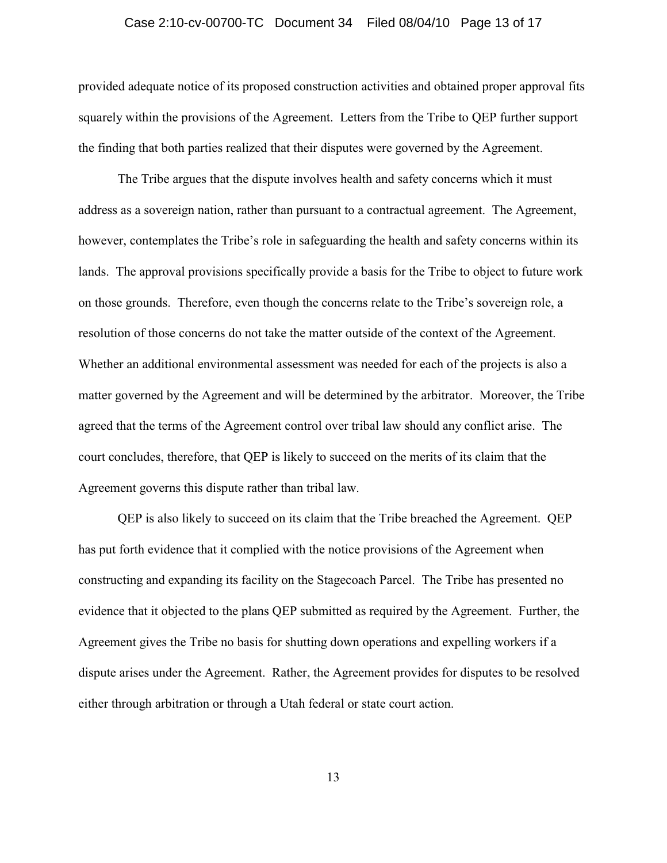#### Case 2:10-cv-00700-TC Document 34 Filed 08/04/10 Page 13 of 17

provided adequate notice of its proposed construction activities and obtained proper approval fits squarely within the provisions of the Agreement. Letters from the Tribe to QEP further support the finding that both parties realized that their disputes were governed by the Agreement.

The Tribe argues that the dispute involves health and safety concerns which it must address as a sovereign nation, rather than pursuant to a contractual agreement. The Agreement, however, contemplates the Tribe's role in safeguarding the health and safety concerns within its lands. The approval provisions specifically provide a basis for the Tribe to object to future work on those grounds. Therefore, even though the concerns relate to the Tribe's sovereign role, a resolution of those concerns do not take the matter outside of the context of the Agreement. Whether an additional environmental assessment was needed for each of the projects is also a matter governed by the Agreement and will be determined by the arbitrator. Moreover, the Tribe agreed that the terms of the Agreement control over tribal law should any conflict arise. The court concludes, therefore, that QEP is likely to succeed on the merits of its claim that the Agreement governs this dispute rather than tribal law.

QEP is also likely to succeed on its claim that the Tribe breached the Agreement. QEP has put forth evidence that it complied with the notice provisions of the Agreement when constructing and expanding its facility on the Stagecoach Parcel. The Tribe has presented no evidence that it objected to the plans QEP submitted as required by the Agreement. Further, the Agreement gives the Tribe no basis for shutting down operations and expelling workers if a dispute arises under the Agreement. Rather, the Agreement provides for disputes to be resolved either through arbitration or through a Utah federal or state court action.

13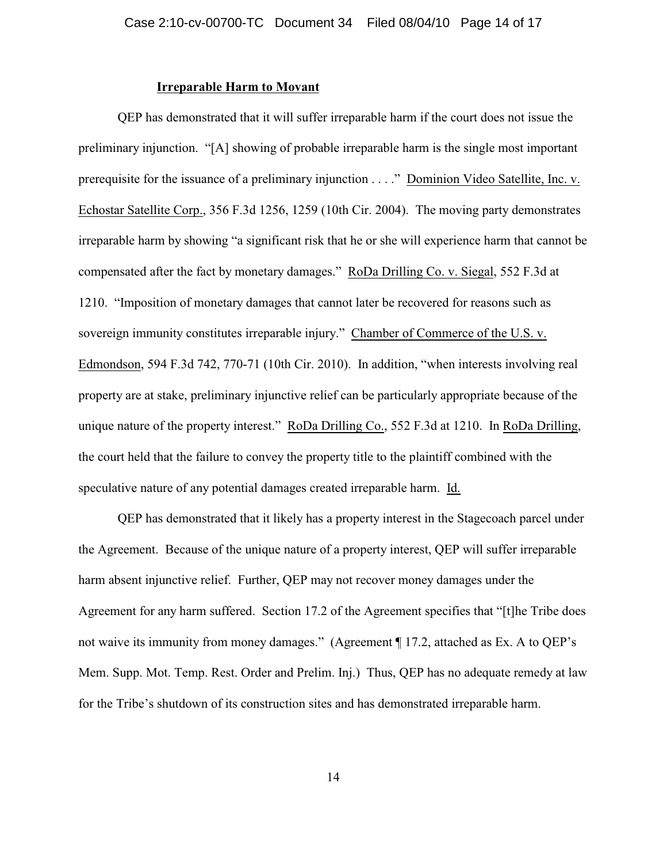### **Irreparable Harm to Movant**

QEP has demonstrated that it will suffer irreparable harm if the court does not issue the preliminary injunction. "[A] showing of probable irreparable harm is the single most important prerequisite for the issuance of a preliminary injunction . . . ." Dominion Video Satellite, Inc. v. Echostar Satellite Corp., 356 F.3d 1256, 1259 (10th Cir. 2004). The moving party demonstrates irreparable harm by showing "a significant risk that he or she will experience harm that cannot be compensated after the fact by monetary damages." RoDa Drilling Co. v. Siegal, 552 F.3d at 1210. "Imposition of monetary damages that cannot later be recovered for reasons such as sovereign immunity constitutes irreparable injury." Chamber of Commerce of the U.S. v. Edmondson, 594 F.3d 742, 770-71 (10th Cir. 2010). In addition, "when interests involving real property are at stake, preliminary injunctive relief can be particularly appropriate because of the unique nature of the property interest." RoDa Drilling Co., 552 F.3d at 1210. In RoDa Drilling, the court held that the failure to convey the property title to the plaintiff combined with the speculative nature of any potential damages created irreparable harm. Id.

QEP has demonstrated that it likely has a property interest in the Stagecoach parcel under the Agreement. Because of the unique nature of a property interest, QEP will suffer irreparable harm absent injunctive relief. Further, QEP may not recover money damages under the Agreement for any harm suffered. Section 17.2 of the Agreement specifies that "[t]he Tribe does not waive its immunity from money damages." (Agreement ¶ 17.2, attached as Ex. A to QEP's Mem. Supp. Mot. Temp. Rest. Order and Prelim. Inj.) Thus, QEP has no adequate remedy at law for the Tribe's shutdown of its construction sites and has demonstrated irreparable harm.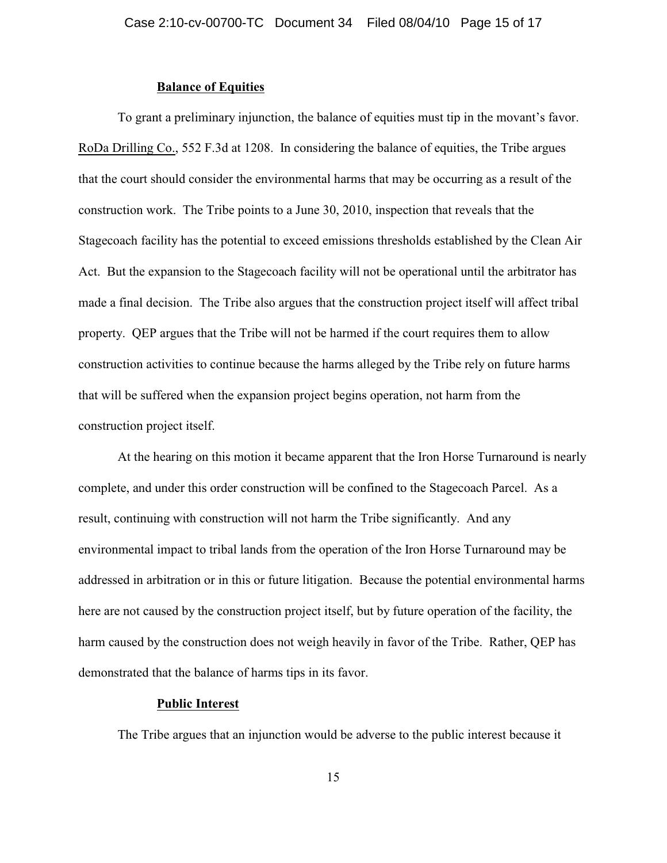### **Balance of Equities**

To grant a preliminary injunction, the balance of equities must tip in the movant's favor. RoDa Drilling Co., 552 F.3d at 1208. In considering the balance of equities, the Tribe argues that the court should consider the environmental harms that may be occurring as a result of the construction work. The Tribe points to a June 30, 2010, inspection that reveals that the Stagecoach facility has the potential to exceed emissions thresholds established by the Clean Air Act. But the expansion to the Stagecoach facility will not be operational until the arbitrator has made a final decision. The Tribe also argues that the construction project itself will affect tribal property. QEP argues that the Tribe will not be harmed if the court requires them to allow construction activities to continue because the harms alleged by the Tribe rely on future harms that will be suffered when the expansion project begins operation, not harm from the construction project itself.

At the hearing on this motion it became apparent that the Iron Horse Turnaround is nearly complete, and under this order construction will be confined to the Stagecoach Parcel. As a result, continuing with construction will not harm the Tribe significantly. And any environmental impact to tribal lands from the operation of the Iron Horse Turnaround may be addressed in arbitration or in this or future litigation. Because the potential environmental harms here are not caused by the construction project itself, but by future operation of the facility, the harm caused by the construction does not weigh heavily in favor of the Tribe. Rather, QEP has demonstrated that the balance of harms tips in its favor.

#### **Public Interest**

The Tribe argues that an injunction would be adverse to the public interest because it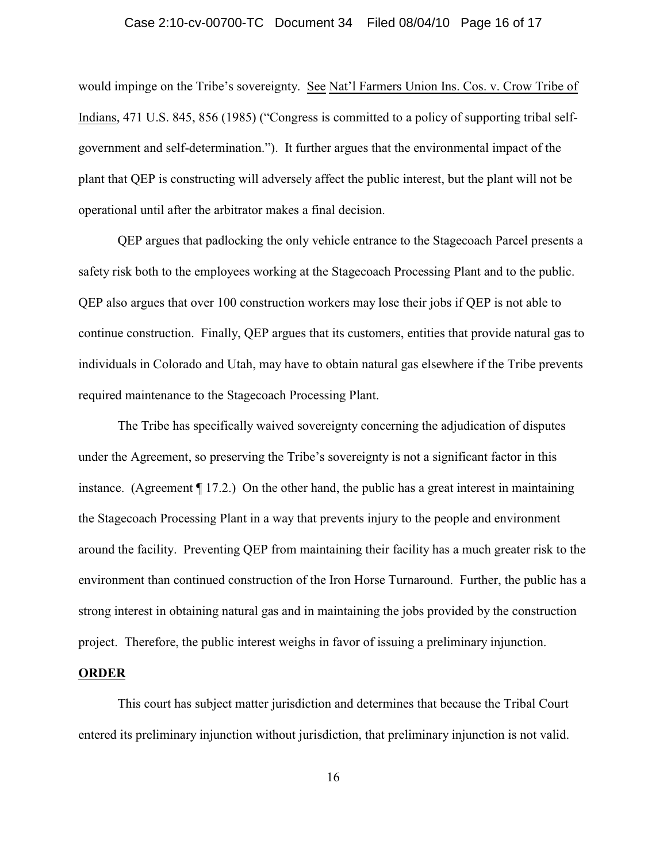#### Case 2:10-cv-00700-TC Document 34 Filed 08/04/10 Page 16 of 17

would impinge on the Tribe's sovereignty. See Nat'l Farmers Union Ins. Cos. v. Crow Tribe of Indians, 471 U.S. 845, 856 (1985) ("Congress is committed to a policy of supporting tribal selfgovernment and self-determination."). It further argues that the environmental impact of the plant that QEP is constructing will adversely affect the public interest, but the plant will not be operational until after the arbitrator makes a final decision.

QEP argues that padlocking the only vehicle entrance to the Stagecoach Parcel presents a safety risk both to the employees working at the Stagecoach Processing Plant and to the public. QEP also argues that over 100 construction workers may lose their jobs if QEP is not able to continue construction. Finally, QEP argues that its customers, entities that provide natural gas to individuals in Colorado and Utah, may have to obtain natural gas elsewhere if the Tribe prevents required maintenance to the Stagecoach Processing Plant.

The Tribe has specifically waived sovereignty concerning the adjudication of disputes under the Agreement, so preserving the Tribe's sovereignty is not a significant factor in this instance. (Agreement ¶ 17.2.) On the other hand, the public has a great interest in maintaining the Stagecoach Processing Plant in a way that prevents injury to the people and environment around the facility. Preventing QEP from maintaining their facility has a much greater risk to the environment than continued construction of the Iron Horse Turnaround. Further, the public has a strong interest in obtaining natural gas and in maintaining the jobs provided by the construction project. Therefore, the public interest weighs in favor of issuing a preliminary injunction.

#### **ORDER**

This court has subject matter jurisdiction and determines that because the Tribal Court entered its preliminary injunction without jurisdiction, that preliminary injunction is not valid.